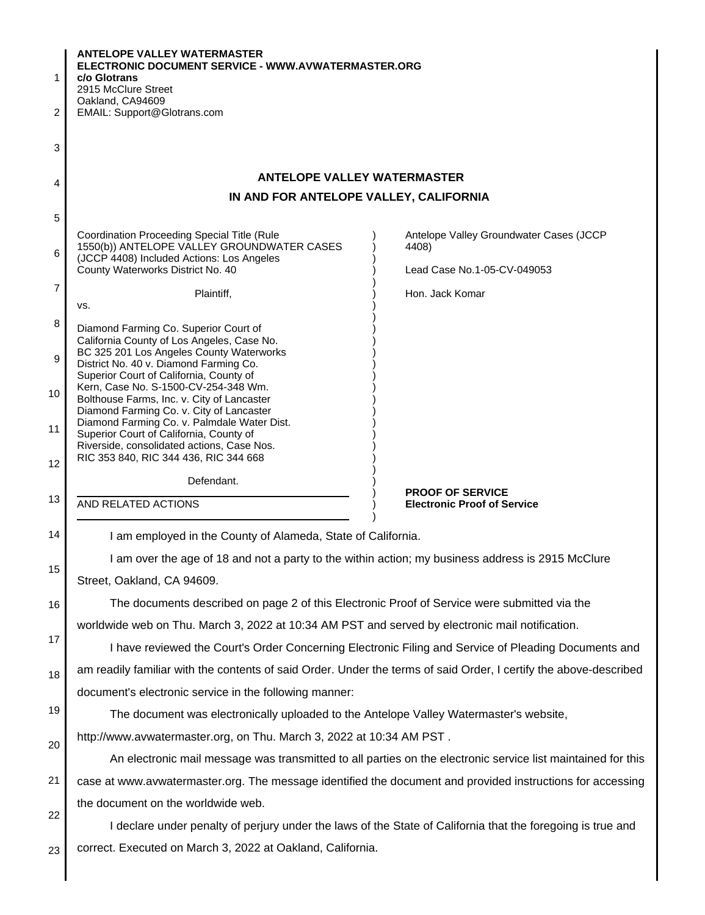| 1              | <b>ANTELOPE VALLEY WATERMASTER</b><br>ELECTRONIC DOCUMENT SERVICE - WWW.AVWATERMASTER.ORG<br>c/o Glotrans         |                                                               |  |
|----------------|-------------------------------------------------------------------------------------------------------------------|---------------------------------------------------------------|--|
|                | 2915 McClure Street<br>Oakland, CA94609                                                                           |                                                               |  |
| 2              | EMAIL: Support@Glotrans.com                                                                                       |                                                               |  |
|                |                                                                                                                   |                                                               |  |
| 3              |                                                                                                                   |                                                               |  |
|                | <b>ANTELOPE VALLEY WATERMASTER</b>                                                                                |                                                               |  |
| 4              | IN AND FOR ANTELOPE VALLEY, CALIFORNIA                                                                            |                                                               |  |
| 5              |                                                                                                                   |                                                               |  |
|                | Coordination Proceeding Special Title (Rule                                                                       | Antelope Valley Groundwater Cases (JCCP                       |  |
| 6              | 1550(b)) ANTELOPE VALLEY GROUNDWATER CASES<br>(JCCP 4408) Included Actions: Los Angeles                           | 4408)                                                         |  |
|                | County Waterworks District No. 40                                                                                 | Lead Case No.1-05-CV-049053                                   |  |
| $\overline{7}$ | Plaintiff,                                                                                                        | Hon. Jack Komar                                               |  |
| 8              | VS.                                                                                                               |                                                               |  |
| 9              | Diamond Farming Co. Superior Court of<br>California County of Los Angeles, Case No.                               |                                                               |  |
|                | BC 325 201 Los Angeles County Waterworks<br>District No. 40 v. Diamond Farming Co.                                |                                                               |  |
|                | Superior Court of California, County of<br>Kern, Case No. S-1500-CV-254-348 Wm.                                   |                                                               |  |
| 10             | Bolthouse Farms, Inc. v. City of Lancaster                                                                        |                                                               |  |
| 11             | Diamond Farming Co. v. City of Lancaster<br>Diamond Farming Co. v. Palmdale Water Dist.                           |                                                               |  |
|                | Superior Court of California, County of<br>Riverside, consolidated actions, Case Nos.                             |                                                               |  |
| 12             | RIC 353 840, RIC 344 436, RIC 344 668                                                                             |                                                               |  |
|                | Defendant.                                                                                                        |                                                               |  |
| 13             | AND RELATED ACTIONS                                                                                               | <b>PROOF OF SERVICE</b><br><b>Electronic Proof of Service</b> |  |
| 14             |                                                                                                                   |                                                               |  |
|                | I am employed in the County of Alameda, State of California.                                                      |                                                               |  |
| 15             | I am over the age of 18 and not a party to the within action; my business address is 2915 McClure                 |                                                               |  |
|                | Street, Oakland, CA 94609.                                                                                        |                                                               |  |
| 16             | The documents described on page 2 of this Electronic Proof of Service were submitted via the                      |                                                               |  |
| 17             | worldwide web on Thu. March 3, 2022 at 10:34 AM PST and served by electronic mail notification.                   |                                                               |  |
|                | I have reviewed the Court's Order Concerning Electronic Filing and Service of Pleading Documents and              |                                                               |  |
| 18             | am readily familiar with the contents of said Order. Under the terms of said Order, I certify the above-described |                                                               |  |
|                | document's electronic service in the following manner:                                                            |                                                               |  |
| 19             | The document was electronically uploaded to the Antelope Valley Watermaster's website,                            |                                                               |  |
| 20             | http://www.avwatermaster.org, on Thu. March 3, 2022 at 10:34 AM PST.                                              |                                                               |  |
|                | An electronic mail message was transmitted to all parties on the electronic service list maintained for this      |                                                               |  |
| 21             | case at www.avwatermaster.org. The message identified the document and provided instructions for accessing        |                                                               |  |
| 22             | the document on the worldwide web.                                                                                |                                                               |  |
|                | I declare under penalty of perjury under the laws of the State of California that the foregoing is true and       |                                                               |  |
| 23             | correct. Executed on March 3, 2022 at Oakland, California.                                                        |                                                               |  |
|                |                                                                                                                   |                                                               |  |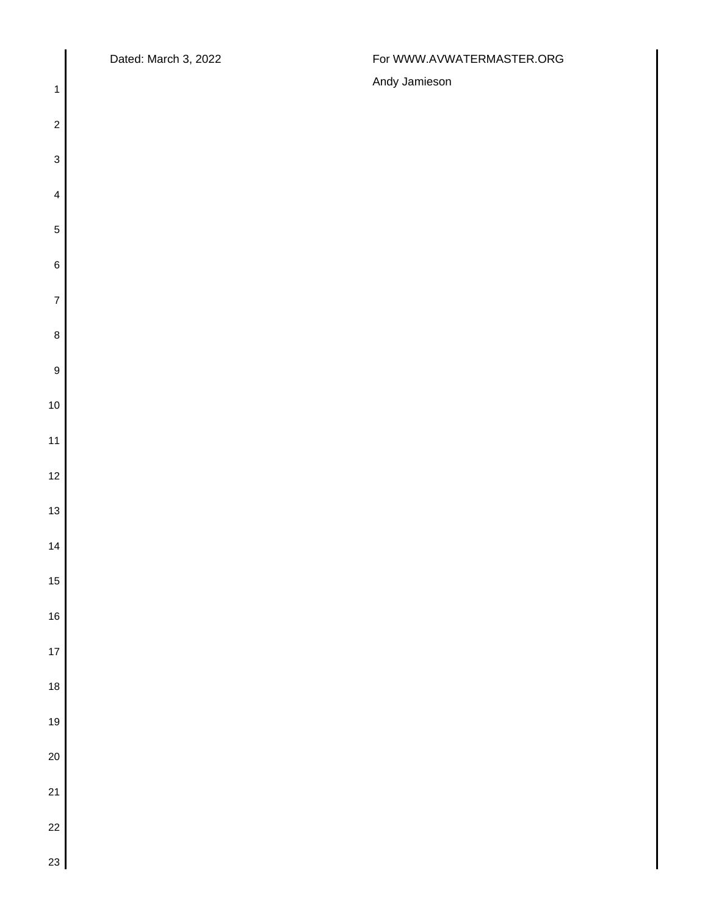$\overline{\mathsf{I}}$ 

## Dated: March 3, 2022 **For WWW.AVWATERMASTER.ORG**

| $\mathbf{1}$              | Andy Jamieson |
|---------------------------|---------------|
| $\boldsymbol{2}$          |               |
| $\ensuremath{\mathsf{3}}$ |               |
| $\overline{\mathbf{4}}$   |               |
| $\,$ 5 $\,$               |               |
| $\,$ 6 $\,$               |               |
| $\overline{\mathbf{7}}$   |               |
| $\bf 8$                   |               |
| $\boldsymbol{9}$          |               |
| $10$                      |               |
| 11                        |               |
| $12$                      |               |
| 13                        |               |
| 14                        |               |
| $15$                      |               |
| $16$                      |               |
| $17$                      |               |
| $\frac{1}{18}$            |               |
| 19                        |               |
| $20\,$                    |               |
| 21                        |               |
| $\frac{1}{2}$             |               |
| 23                        |               |